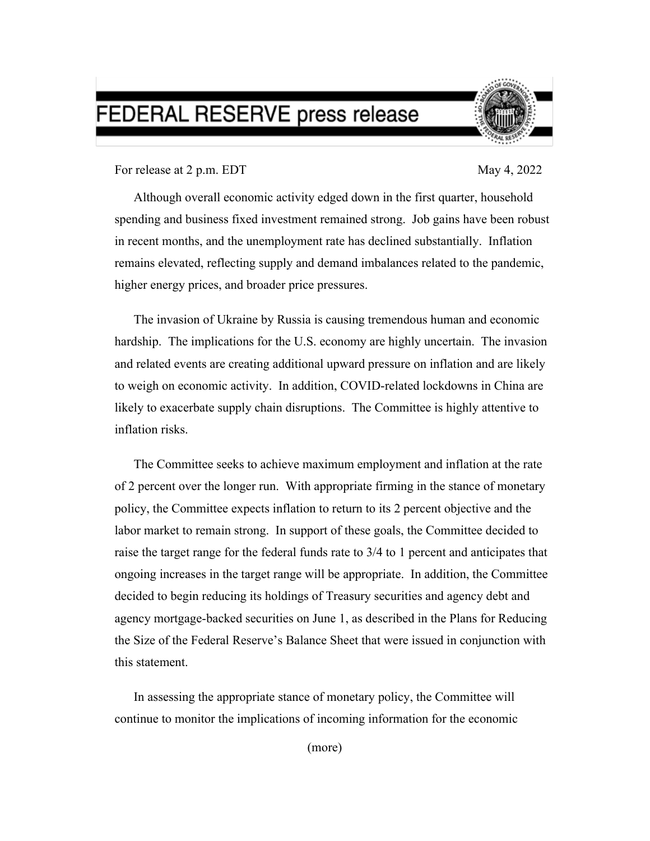## FEDERAL RESERVE press release



For release at 2 p.m. EDT May 4, 2022

Although overall economic activity edged down in the first quarter, household spending and business fixed investment remained strong.Job gains have been robust in recent months, and the unemployment rate has declined substantially. Inflation remains elevated, reflecting supply and demand imbalances related to the pandemic, higher energy prices, and broader price pressures.

The invasion of Ukraine by Russia is causing tremendous human and economic hardship. The implications for the U.S. economy are highly uncertain. The invasion and related events are creating additional upward pressure on inflation and are likely to weigh on economic activity. In addition, COVID-related lockdowns in China are likely to exacerbate supply chain disruptions. The Committee is highly attentive to inflation risks.

The Committee seeks to achieve maximum employment and inflation at the rate of 2 percent over the longer run. With appropriate firming in the stance of monetary policy, the Committee expects inflation to return to its 2 percent objective and the labor market to remain strong. In support of these goals, the Committee decided to raise the target range for the federal funds rate to 3/4 to 1 percent and anticipates that ongoing increases in the target range will be appropriate. In addition, the Committee decided to begin reducing its holdings of Treasury securities and agency debt and agency mortgage-backed securities on June 1, as described in the Plans for Reducing the Size of the Federal Reserve's Balance Sheet that were issued in conjunction with this statement.

In assessing the appropriate stance of monetary policy, the Committee will continue to monitor the implications of incoming information for the economic

(more)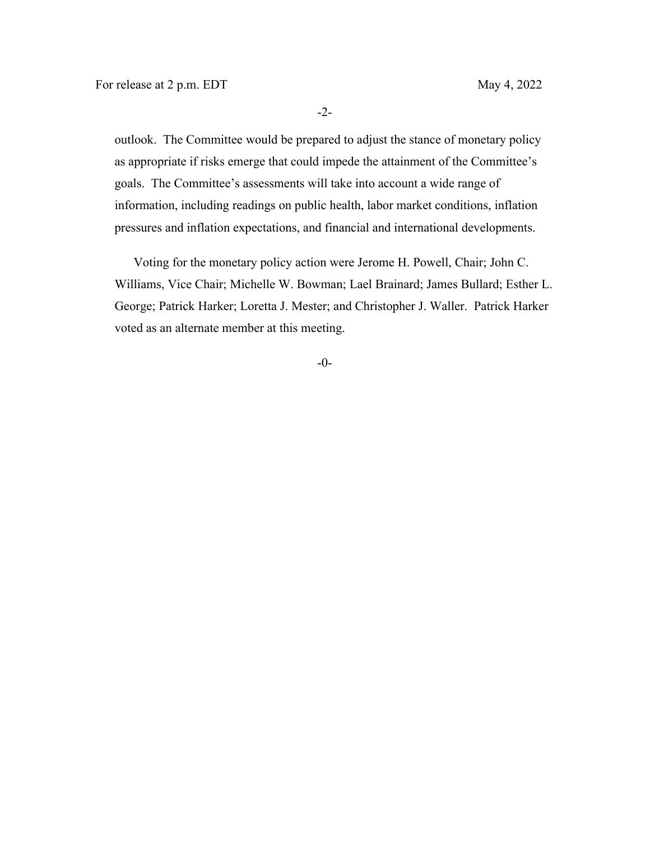-2-

outlook. The Committee would be prepared to adjust the stance of monetary policy as appropriate if risks emerge that could impede the attainment of the Committee's goals. The Committee's assessments will take into account a wide range of information, including readings on public health, labor market conditions, inflation pressures and inflation expectations, and financial and international developments.

Voting for the monetary policy action were Jerome H. Powell, Chair; John C. Williams, Vice Chair; Michelle W. Bowman; Lael Brainard; James Bullard; Esther L. George; Patrick Harker; Loretta J. Mester; and Christopher J. Waller. Patrick Harker voted as an alternate member at this meeting.

-0-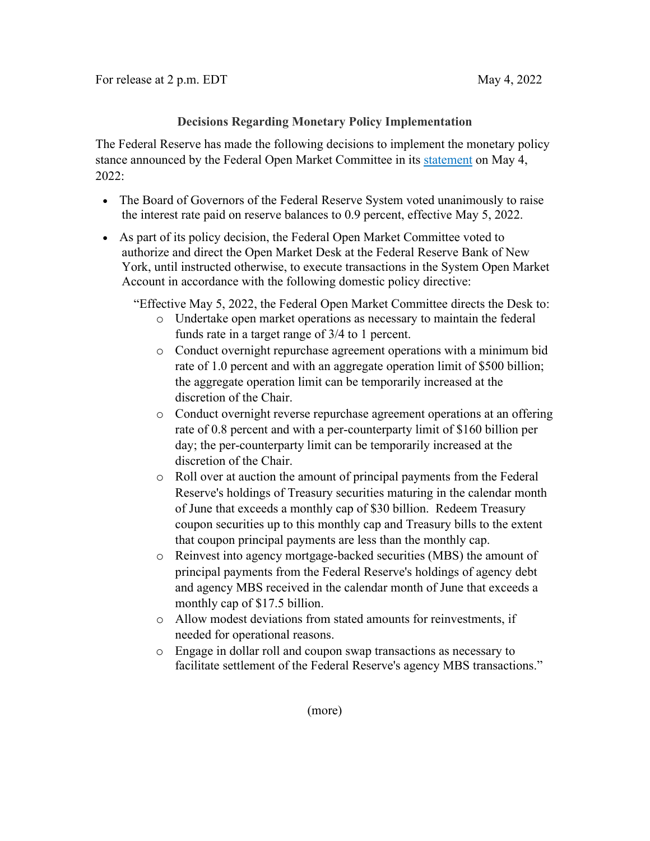## **Decisions Regarding Monetary Policy Implementation**

The Federal Reserve has made the following decisions to implement the monetary policy stance announced by the Federal Open Market Committee in its [statement](https://www.federalreserve.gov/newsevents/pressreleases/monetary20220504a.htm) on May 4, 2022:

- The Board of Governors of the Federal Reserve System voted unanimously to raise the interest rate paid on reserve balances to 0.9 percent, effective May 5, 2022.
- As part of its policy decision, the Federal Open Market Committee voted to authorize and direct the Open Market Desk at the Federal Reserve Bank of New York, until instructed otherwise, to execute transactions in the System Open Market Account in accordance with the following domestic policy directive:

"Effective May 5, 2022, the Federal Open Market Committee directs the Desk to:

- o Undertake open market operations as necessary to maintain the federal funds rate in a target range of 3/4 to 1 percent.
- o Conduct overnight repurchase agreement operations with a minimum bid rate of 1.0 percent and with an aggregate operation limit of \$500 billion; the aggregate operation limit can be temporarily increased at the discretion of the Chair.
- o Conduct overnight reverse repurchase agreement operations at an offering rate of 0.8 percent and with a per-counterparty limit of \$160 billion per day; the per-counterparty limit can be temporarily increased at the discretion of the Chair.
- o Roll over at auction the amount of principal payments from the Federal Reserve's holdings of Treasury securities maturing in the calendar month of June that exceeds a monthly cap of \$30 billion. Redeem Treasury coupon securities up to this monthly cap and Treasury bills to the extent that coupon principal payments are less than the monthly cap.
- o Reinvest into agency mortgage-backed securities (MBS) the amount of principal payments from the Federal Reserve's holdings of agency debt and agency MBS received in the calendar month of June that exceeds a monthly cap of \$17.5 billion.
- o Allow modest deviations from stated amounts for reinvestments, if needed for operational reasons.
- o Engage in dollar roll and coupon swap transactions as necessary to facilitate settlement of the Federal Reserve's agency MBS transactions."

(more)